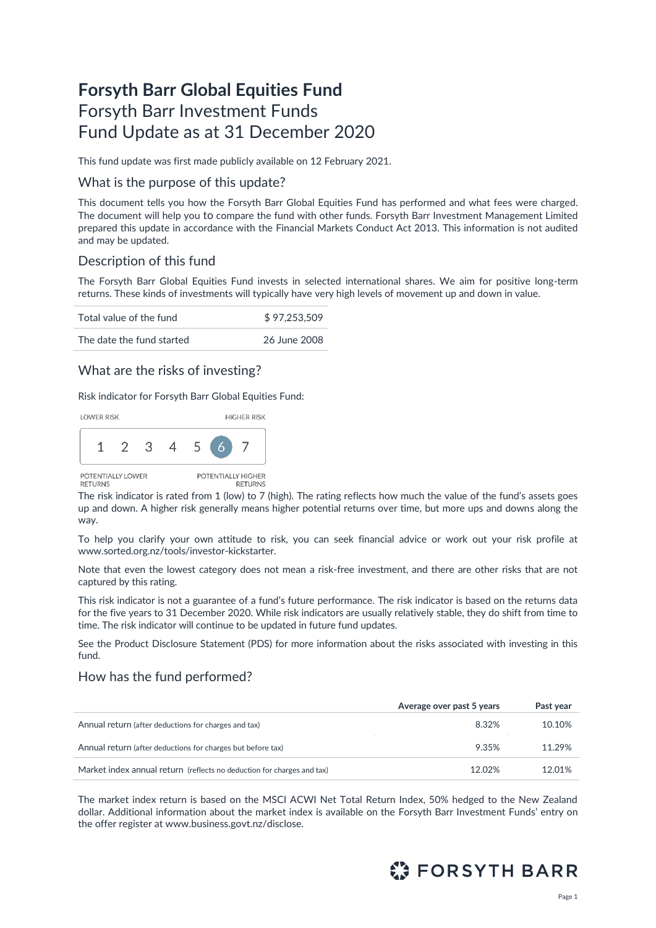# **Forsyth Barr Global Equities Fund** Forsyth Barr Investment Funds Fund Update as at 31 December 2020

This fund update was first made publicly available on 12 February 2021.

### What is the purpose of this update?

This document tells you how the Forsyth Barr Global Equities Fund has performed and what fees were charged. The document will help you to compare the fund with other funds. Forsyth Barr Investment Management Limited prepared this update in accordance with the Financial Markets Conduct Act 2013. This information is not audited and may be updated.

### Description of this fund

The Forsyth Barr Global Equities Fund invests in selected international shares. We aim for positive long-term returns. These kinds of investments will typically have very high levels of movement up and down in value.

| Total value of the fund   | \$97.253.509 |  |  |
|---------------------------|--------------|--|--|
| The date the fund started | 26 June 2008 |  |  |

### What are the risks of investing?

Risk indicator for Forsyth Barr Global Equities Fund:



The risk indicator is rated from 1 (low) to 7 (high). The rating reflects how much the value of the fund's assets goes up and down. A higher risk generally means higher potential returns over time, but more ups and downs along the way.

To help you clarify your own attitude to risk, you can seek financial advice or work out your risk profile at [www.sorted.org.nz/tools/investor-kickstarter.](http://www.sorted.org.nz/tools/investor-kickstarter)

Note that even the lowest category does not mean a risk-free investment, and there are other risks that are not captured by this rating.

This risk indicator is not a guarantee of a fund's future performance. The risk indicator is based on the returns data for the five years to 31 December 2020. While risk indicators are usually relatively stable, they do shift from time to time. The risk indicator will continue to be updated in future fund updates.

See the Product Disclosure Statement (PDS) for more information about the risks associated with investing in this fund.

### How has the fund performed?

|                                                                        | Average over past 5 years | Past year |
|------------------------------------------------------------------------|---------------------------|-----------|
| Annual return (after deductions for charges and tax)                   | 8.32%                     | 10.10%    |
| Annual return (after deductions for charges but before tax)            | 9.35%                     | 11 29%    |
| Market index annual return (reflects no deduction for charges and tax) | 12.02%                    | 12.01%    |

The market index return is based on the MSCI ACWI Net Total Return Index, 50% hedged to the New Zealand dollar. Additional information about the market index is available on the Forsyth Barr Investment Funds' entry on the offer register at [www.business.govt.nz/disclose](http://www.business.govt.nz/disclose)*.*

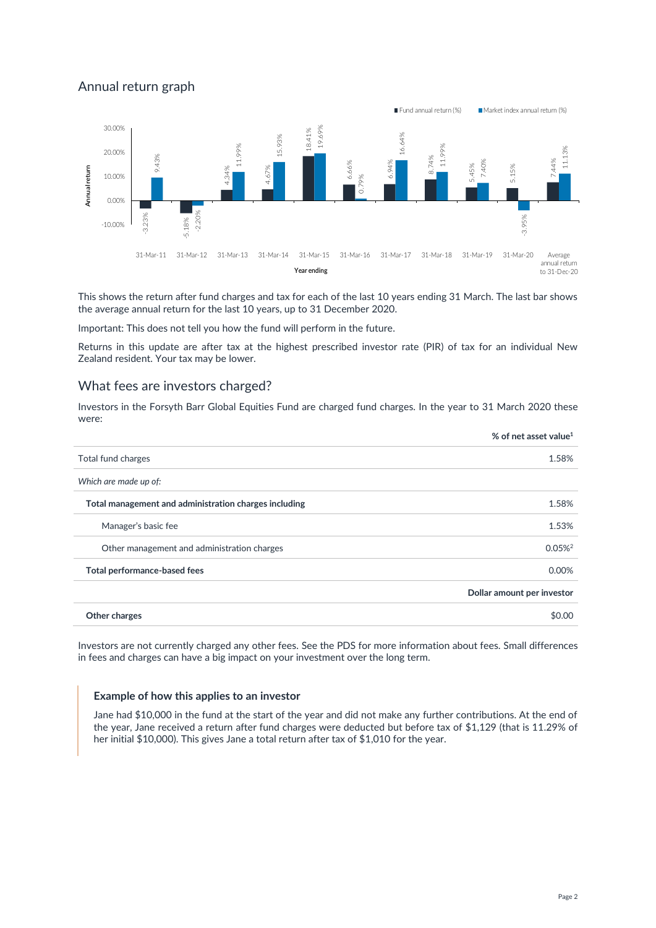## Annual return graph



This shows the return after fund charges and tax for each of the last 10 years ending 31 March. The last bar shows the average annual return for the last 10 years, up to 31 December 2020.

Important: This does not tell you how the fund will perform in the future.

Returns in this update are after tax at the highest prescribed investor rate (PIR) of tax for an individual New Zealand resident. Your tax may be lower.

#### What fees are investors charged?

Investors in the Forsyth Barr Global Equities Fund are charged fund charges. In the year to 31 March 2020 these were:

| Total fund charges<br>Which are made up of:<br>Total management and administration charges including<br>Manager's basic fee<br>Other management and administration charges<br>Total performance-based fees<br>Other charges | % of net asset value <sup>1</sup> |
|-----------------------------------------------------------------------------------------------------------------------------------------------------------------------------------------------------------------------------|-----------------------------------|
|                                                                                                                                                                                                                             | 1.58%                             |
|                                                                                                                                                                                                                             |                                   |
|                                                                                                                                                                                                                             | 1.58%                             |
|                                                                                                                                                                                                                             | 1.53%                             |
|                                                                                                                                                                                                                             | $0.05\%$ <sup>2</sup>             |
|                                                                                                                                                                                                                             | 0.00%                             |
|                                                                                                                                                                                                                             | Dollar amount per investor        |
|                                                                                                                                                                                                                             | \$0.00                            |

Investors are not currently charged any other fees. See the PDS for more information about fees. Small differences in fees and charges can have a big impact on your investment over the long term.

#### **Example of how this applies to an investor**

Jane had \$10,000 in the fund at the start of the year and did not make any further contributions. At the end of the year, Jane received a return after fund charges were deducted but before tax of \$1,129 (that is 11.29% of her initial \$10,000). This gives Jane a total return after tax of \$1,010 for the year.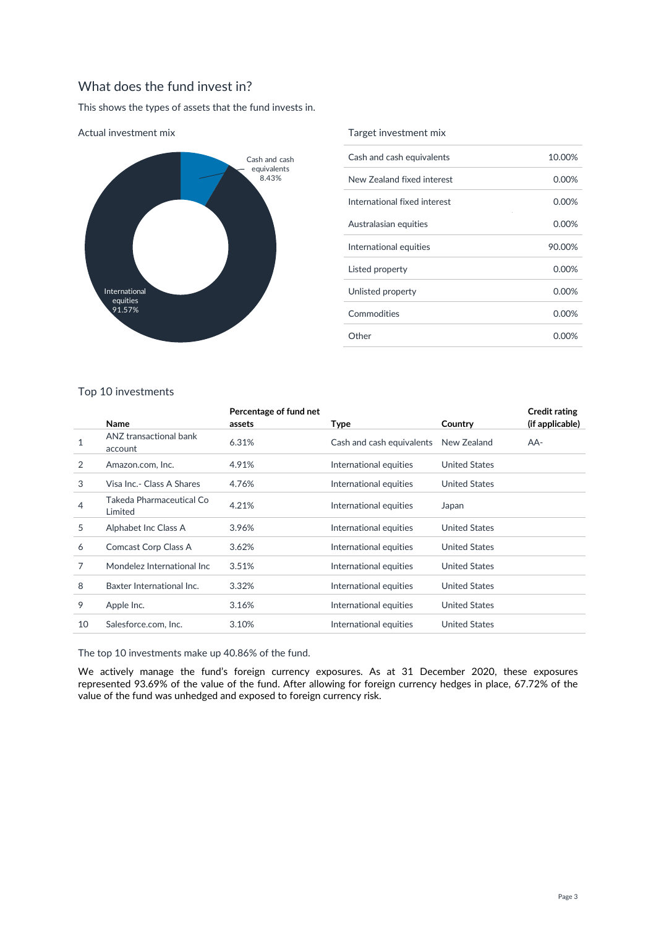# What does the fund invest in?

This shows the types of assets that the fund invests in.



Actual investment mix

#### Target investment mix

| Cash and cash equivalents    | 10.00%   |
|------------------------------|----------|
| New Zealand fixed interest   | $0.00\%$ |
| International fixed interest | 0.00%    |
| Australasian equities        | 0.00%    |
| International equities       | 90.00%   |
| Listed property              | $0.00\%$ |
| Unlisted property            | $0.00\%$ |
| Commodities                  | $0.00\%$ |
| Other                        | 0.00%    |
|                              |          |

#### Top 10 investments

|                | Name                                | Percentage of fund net<br>assets | <b>Type</b>               | Country              | <b>Credit rating</b><br>(if applicable) |
|----------------|-------------------------------------|----------------------------------|---------------------------|----------------------|-----------------------------------------|
| 1              | ANZ transactional bank<br>account   | 6.31%                            | Cash and cash equivalents | New Zealand          | AA-                                     |
| 2              | Amazon.com. Inc.                    | 4.91%                            | International equities    | <b>United States</b> |                                         |
| 3              | Visa Inc.- Class A Shares           | 4.76%                            | International equities    | <b>United States</b> |                                         |
| $\overline{4}$ | Takeda Pharmaceutical Co<br>Limited | 4.21%                            | International equities    | Japan                |                                         |
| 5              | Alphabet Inc Class A                | 3.96%                            | International equities    | <b>United States</b> |                                         |
| 6              | Comcast Corp Class A                | 3.62%                            | International equities    | <b>United States</b> |                                         |
| 7              | Mondelez International Inc.         | 3.51%                            | International equities    | <b>United States</b> |                                         |
| 8              | Baxter International Inc.           | 3.32%                            | International equities    | <b>United States</b> |                                         |
| 9              | Apple Inc.                          | 3.16%                            | International equities    | <b>United States</b> |                                         |
| 10             | Salesforce.com, Inc.                | 3.10%                            | International equities    | <b>United States</b> |                                         |

The top 10 investments make up 40.86% of the fund.

We actively manage the fund's foreign currency exposures. As at 31 December 2020, these exposures represented 93.69% of the value of the fund. After allowing for foreign currency hedges in place, 67.72% of the value of the fund was unhedged and exposed to foreign currency risk.